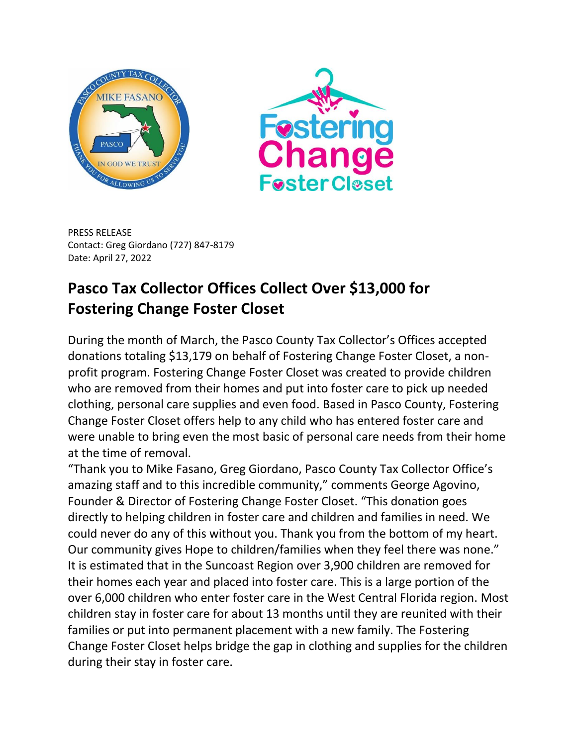



PRESS RELEASE Contact: Greg Giordano (727) 847-8179 Date: April 27, 2022

## **Pasco Tax Collector Offices Collect Over \$13,000 for Fostering Change Foster Closet**

During the month of March, the Pasco County Tax Collector's Offices accepted donations totaling \$13,179 on behalf of Fostering Change Foster Closet, a nonprofit program. Fostering Change Foster Closet was created to provide children who are removed from their homes and put into foster care to pick up needed clothing, personal care supplies and even food. Based in Pasco County, Fostering Change Foster Closet offers help to any child who has entered foster care and were unable to bring even the most basic of personal care needs from their home at the time of removal.

"Thank you to Mike Fasano, Greg Giordano, Pasco County Tax Collector Office's amazing staff and to this incredible community," comments George Agovino, Founder & Director of Fostering Change Foster Closet. "This donation goes directly to helping children in foster care and children and families in need. We could never do any of this without you. Thank you from the bottom of my heart. Our community gives Hope to children/families when they feel there was none." It is estimated that in the Suncoast Region over 3,900 children are removed for their homes each year and placed into foster care. This is a large portion of the over 6,000 children who enter foster care in the West Central Florida region. Most children stay in foster care for about 13 months until they are reunited with their families or put into permanent placement with a new family. The Fostering Change Foster Closet helps bridge the gap in clothing and supplies for the children during their stay in foster care.